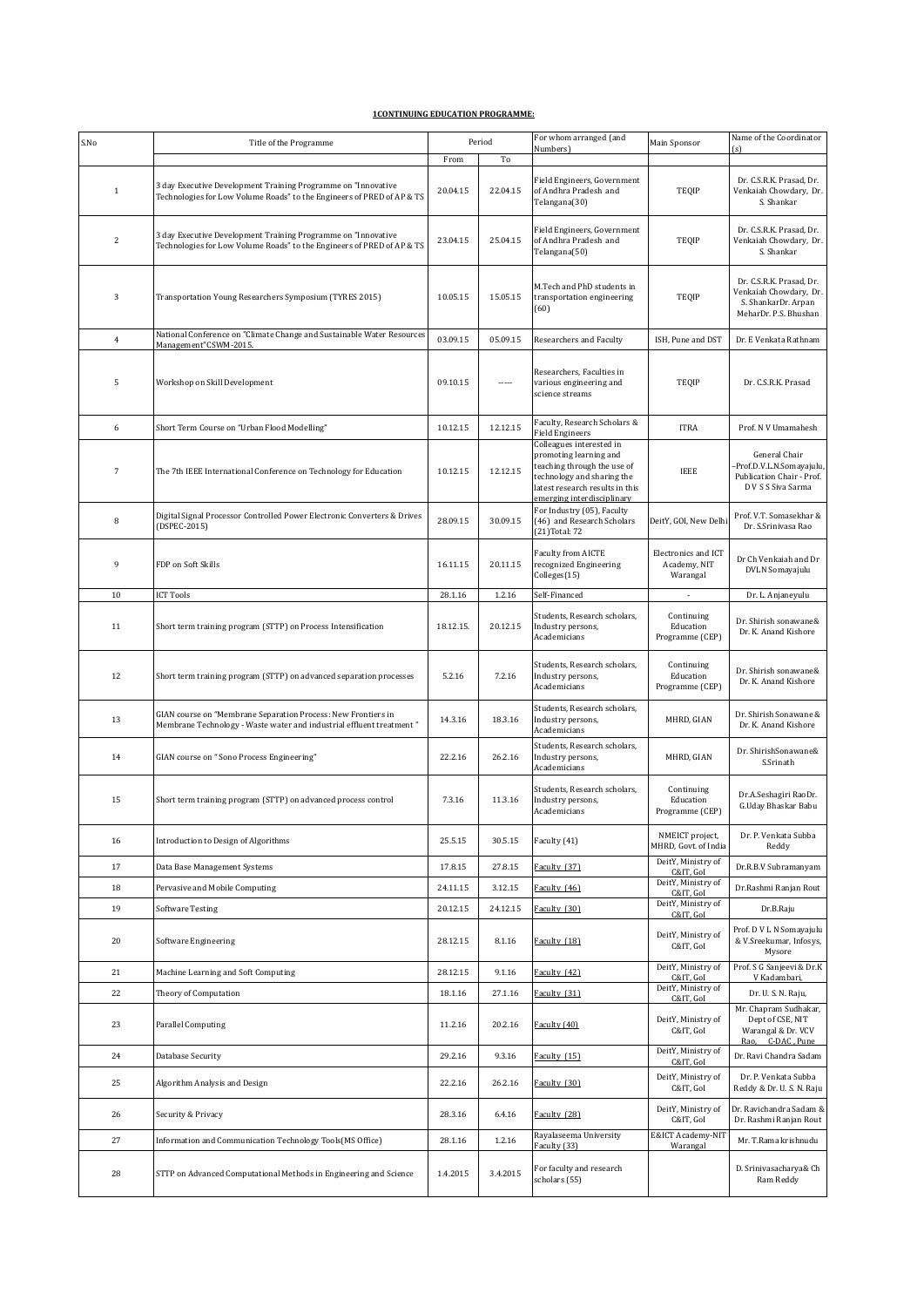## **1CONTINUING EDUCATION PROGRAMME:**

| S.No           | Title of the Programme                                                                                                                  |           | Period   | For whom arranged (and<br>Numbers)                                                                                                                                               | Main Sponsor                                    | Name of the Coordinator<br>(s)                                                                     |
|----------------|-----------------------------------------------------------------------------------------------------------------------------------------|-----------|----------|----------------------------------------------------------------------------------------------------------------------------------------------------------------------------------|-------------------------------------------------|----------------------------------------------------------------------------------------------------|
|                |                                                                                                                                         | From      | To       |                                                                                                                                                                                  |                                                 |                                                                                                    |
| $\mathbf{1}$   | 3 day Executive Development Training Programme on "Innovative<br>Technologies for Low Volume Roads" to the Engineers of PRED of AP & TS | 20.04.15  | 22.04.15 | Field Engineers, Government<br>of Andhra Pradesh and<br>Telangana(30)                                                                                                            | TEQIP                                           | Dr. C.S.R.K. Prasad, Dr.<br>Venkaiah Chowdary, Dr.<br>S. Shankar                                   |
| $\overline{c}$ | 3 day Executive Development Training Programme on "Innovative<br>Technologies for Low Volume Roads" to the Engineers of PRED of AP & TS | 23.04.15  | 25.04.15 | Field Engineers, Government<br>of Andhra Pradesh and<br>Telangana(50)                                                                                                            | TEQIP                                           | Dr. C.S.R.K. Prasad, Dr.<br>Venkaiah Chowdary, Dr.<br>S. Shankar                                   |
| 3              | Transportation Young Researchers Symposium (TYRES 2015)                                                                                 | 10.05.15  | 15.05.15 | M.Tech and PhD students in<br>transportation engineering<br>(60)                                                                                                                 | TEQIP                                           | Dr. C.S.R.K. Prasad. Dr.<br>Venkaiah Chowdary, Dr.<br>S. ShankarDr. Arpan<br>MeharDr. P.S. Bhushan |
| $\overline{4}$ | National Conference on "Climate Change and Sustainable Water Resources<br>Management"CSWM-2015.                                         | 03.09.15  | 05.09.15 | Researchers and Faculty                                                                                                                                                          | ISH, Pune and DST                               | Dr. E Venkata Rathnam                                                                              |
| 5              | Workshop on Skill Development                                                                                                           | 09.10.15  | -----    | Researchers, Faculties in<br>various engineering and<br>science streams                                                                                                          | TEQIP                                           | Dr. C.S.R.K. Prasad                                                                                |
| 6              | Short Term Course on "Urban Flood Modelling"                                                                                            | 10.12.15  | 12.12.15 | Faculty, Research Scholars &<br><b>Field Engineers</b>                                                                                                                           | <b>ITRA</b>                                     | Prof. N V Umamahesh                                                                                |
| 7              | The 7th IEEE International Conference on Technology for Education                                                                       | 10.12.15  | 12.12.15 | Colleagues interested in<br>promoting learning and<br>teaching through the use of<br>technology and sharing the<br>latest research results in this<br>emerging interdisciplinary | IEEE                                            | General Chair<br>-Prof.D.V.L.N.Somayajulu,<br>Publication Chair - Prof.<br>D V S S Siva Sarma      |
| 8              | Digital Signal Processor Controlled Power Electronic Converters & Drives<br>(DSPEC-2015)                                                | 28.09.15  | 30.09.15 | For Industry (05), Faculty<br>(46) and Research Scholars<br>(21) Total: 72                                                                                                       | DeitY, GOI, New Delhi                           | Prof. V.T. Somasekhar &<br>Dr. S.Srinivasa Rao                                                     |
| 9              | FDP on Soft Skills                                                                                                                      | 16.11.15  | 20.11.15 | Faculty from AICTE<br>recognized Engineering<br>Colleges(15)                                                                                                                     | Electronics and ICT<br>Academy, NIT<br>Warangal | Dr Ch Venkaiah and Dr<br>DVLN Somayajulu                                                           |
| 10             | <b>ICT Tools</b>                                                                                                                        | 28.1.16   | 1.2.16   | Self-Financed                                                                                                                                                                    | $\overline{\phantom{a}}$                        | Dr. L. Anjaneyulu                                                                                  |
| 11             | Short term training program (STTP) on Process Intensification                                                                           | 18.12.15. | 20.12.15 | Students, Research scholars,<br>Industry persons,<br>Academicians                                                                                                                | Continuing<br>Education<br>Programme (CEP)      | Dr. Shirish sonawane&<br>Dr. K. Anand Kishore                                                      |
| 12             | Short term training program (STTP) on advanced separation processes                                                                     | 5.2.16    | 7.2.16   | Students, Research scholars,<br>Industry persons,<br>Academicians                                                                                                                | Continuing<br>Education<br>Programme (CEP)      | Dr. Shirish sonawane&<br>Dr. K. Anand Kishore                                                      |
| 13             | GIAN course on "Membrane Separation Process: New Frontiers in<br>Membrane Technology - Waste water and industrial effluent treatment"   | 14.3.16   | 18.3.16  | Students, Research scholars,<br>Industry persons,<br>Academicians                                                                                                                | MHRD, GIAN                                      | Dr. Shirish Sonawane &<br>Dr. K. Anand Kishore                                                     |
| 14             | GIAN course on "Sono Process Engineering"                                                                                               | 22.2.16   | 26.2.16  | Students, Research scholars,<br>Industry persons,<br>Academicians                                                                                                                | MHRD, GIAN                                      | Dr. ShirishSonawane&<br>S.Srinath                                                                  |
| 15             | Short term training program (STTP) on advanced process control                                                                          | 7.3.16    | 11.3.16  | Students, Research scholars,<br>Industry persons,<br>Academicians                                                                                                                | Continuing<br>Education<br>Programme (CEP)      | Dr.A.Seshagiri RaoDr.<br>G.Uday Bhaskar Babu                                                       |
| 16             | Introduction to Design of Algorithms                                                                                                    | 25.5.15   | 30.5.15  | Faculty (41)                                                                                                                                                                     | NMEICT project,<br>MHRD, Govt. of India         | Dr. P. Venkata Subba<br>Reddy                                                                      |
| 17             | Data Base Management Systems                                                                                                            | 17.8.15   | 27.8.15  | Faculty (37)                                                                                                                                                                     | DeitY, Ministry of<br>C&IT. GoI                 | Dr.R.B.V Subramanyam                                                                               |
| 18             | Pervasive and Mobile Computing                                                                                                          | 24.11.15  | 3.12.15  | Faculty (46)                                                                                                                                                                     | DeitY, Ministry of<br>C&IT, GoI                 | Dr.Rashmi Ranjan Rout                                                                              |
| 19             | <b>Software Testing</b>                                                                                                                 | 20.12.15  | 24.12.15 | Faculty (30)                                                                                                                                                                     | DeitY, Ministry of<br>C&IT, GoI                 | Dr.B.Raju                                                                                          |
| 20             | Software Engineering                                                                                                                    | 28.12.15  | 8.1.16   | Faculty (18)                                                                                                                                                                     | DeitY, Ministry of<br>C&IT, GoI                 | Prof. D V L N Somayajulu<br>& V.Sreekumar, Infosys,<br>Mysore                                      |
| 21             | Machine Learning and Soft Computing                                                                                                     | 28.12.15  | 9.1.16   | Faculty (42)                                                                                                                                                                     | DeitY, Ministry of<br>C&IT, GoI                 | Prof. S G Sanjeevi & Dr.K<br>V Kadambari,                                                          |
| 22             | Theory of Computation                                                                                                                   | 18.1.16   | 27.1.16  | Faculty (31)                                                                                                                                                                     | DeitY, Ministry of<br>C&IT, GoI                 | Dr. U. S. N. Raju,                                                                                 |
| 23             | <b>Parallel Computing</b>                                                                                                               | 11.2.16   | 20.2.16  | Faculty (40)                                                                                                                                                                     | DeitY, Ministry of<br>C&IT, GoI                 | Mr. Chapram Sudhakar,<br>Dept of CSE, NIT<br>Warangal & Dr. VCV<br>C-DAC, Pune<br>Rao,             |
| 24             | Database Security                                                                                                                       | 29.2.16   | 9.3.16   | Faculty (15)                                                                                                                                                                     | DeitY, Ministry of<br>C&IT, GoI                 | Dr. Ravi Chandra Sadam                                                                             |
| 25             | Algorithm Analysis and Design                                                                                                           | 22.2.16   | 26.2.16  | Faculty (30)                                                                                                                                                                     | DeitY, Ministry of<br>C&IT, GoI                 | Dr. P. Venkata Subba<br>Reddy & Dr. U. S. N. Raju                                                  |
| 26             | Security & Privacy                                                                                                                      | 28.3.16   | 6.4.16   | Faculty (28)                                                                                                                                                                     | DeitY, Ministry of<br>C&IT, GoI                 | Dr. Ravichandra Sadam &<br>Dr. Rashmi Ranjan Rout                                                  |
| 27             | Information and Communication Technology Tools(MS Office)                                                                               | 28.1.16   | 1.2.16   | Rayalaseema University<br>Faculty (33)                                                                                                                                           | E&ICT Academy-NIT<br>Warangal                   | Mr. T.Rama krishnudu                                                                               |
| 28             | STTP on Advanced Computational Methods in Engineering and Science                                                                       | 1.4.2015  | 3.4.2015 | For faculty and research<br>scholars (55)                                                                                                                                        |                                                 | D. Srinivasacharya& Ch<br>Ram Reddy                                                                |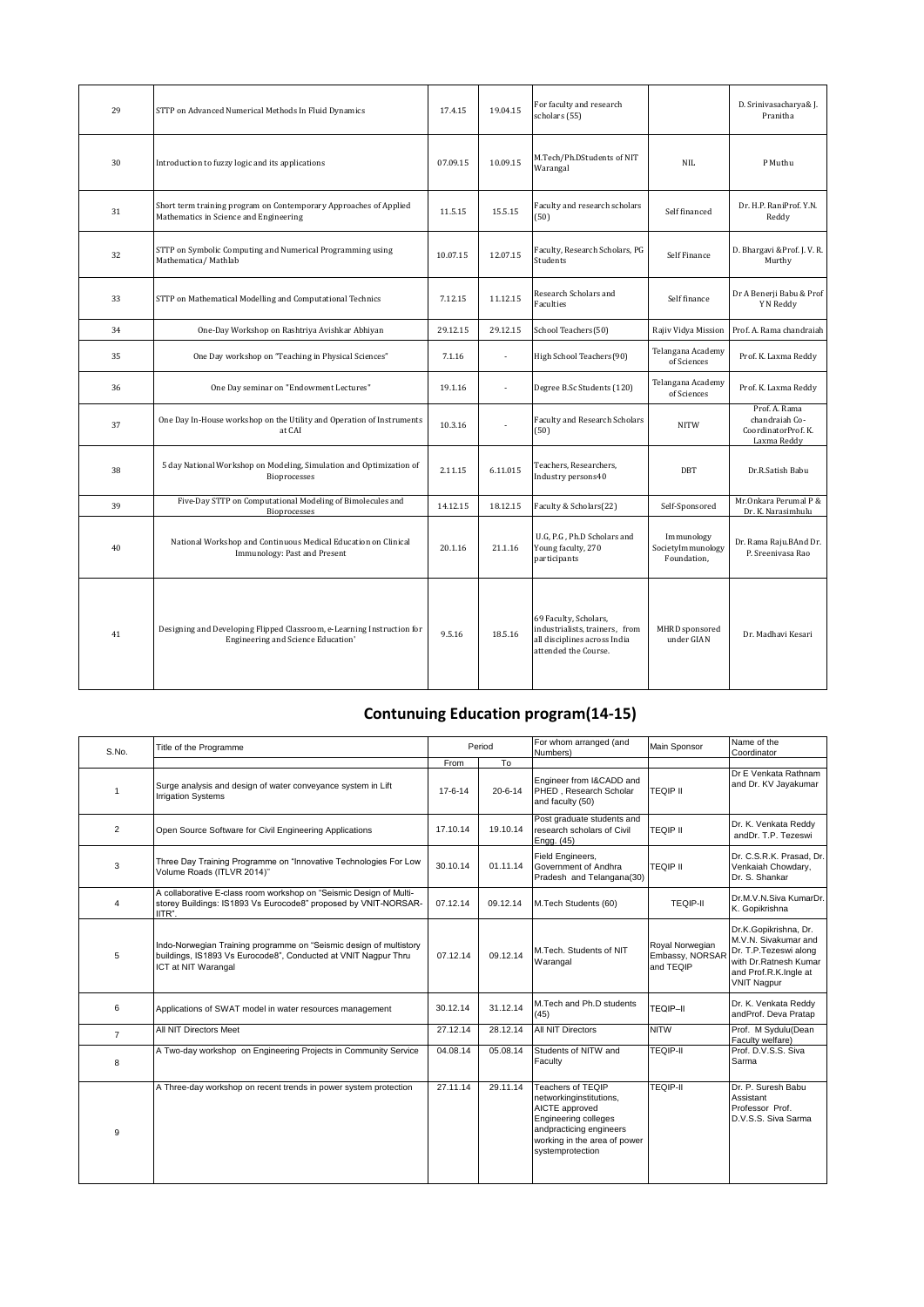| 29 | STTP on Advanced Numerical Methods In Fluid Dynamics                                                         | 17.4.15  | 19.04.15 | For faculty and research<br>scholars (55)                                                                       |                                                | D. Srinivasacharya& J.<br>Pranitha                                    |
|----|--------------------------------------------------------------------------------------------------------------|----------|----------|-----------------------------------------------------------------------------------------------------------------|------------------------------------------------|-----------------------------------------------------------------------|
| 30 | Introduction to fuzzy logic and its applications                                                             | 07.09.15 | 10.09.15 | M.Tech/Ph.DStudents of NIT<br>Warangal                                                                          | <b>NIL</b>                                     | P Muthu                                                               |
| 31 | Short term training program on Contemporary Approaches of Applied<br>Mathematics in Science and Engineering  | 11.5.15  | 15.5.15  | Faculty and research scholars<br>(50)                                                                           | Self financed                                  | Dr. H.P. RaniProf. Y.N.<br>Reddy                                      |
| 32 | STTP on Symbolic Computing and Numerical Programming using<br>Mathematica/ Mathlab                           | 10.07.15 | 12.07.15 | Faculty, Research Scholars, PG<br>Students                                                                      | Self Finance                                   | D. Bhargavi & Prof. J. V. R.<br>Murthy                                |
| 33 | STTP on Mathematical Modelling and Computational Technics                                                    | 7.12.15  | 11.12.15 | Research Scholars and<br><b>Faculties</b>                                                                       | Self finance                                   | Dr A Benerji Babu & Prof<br>Y N Reddy                                 |
| 34 | One-Day Workshop on Rashtriya Avishkar Abhiyan                                                               | 29.12.15 | 29.12.15 | School Teachers(50)                                                                                             | Rajiv Vidya Mission                            | Prof. A. Rama chandraiah                                              |
| 35 | One Day workshop on "Teaching in Physical Sciences"                                                          | 7.1.16   | ×,       | High School Teachers(90)                                                                                        | Telangana Academy<br>of Sciences               | Prof. K. Laxma Reddy                                                  |
| 36 | One Day seminar on "Endowment Lectures"                                                                      | 19.1.16  | ×,       | Degree B.Sc Students (120)                                                                                      | Telangana Academy<br>of Sciences               | Prof. K. Laxma Reddy                                                  |
| 37 | One Day In-House workshop on the Utility and Operation of Instruments<br>at CAI                              | 10.3.16  | ÷,       | Faculty and Research Scholars<br>(50)                                                                           | <b>NITW</b>                                    | Prof. A. Rama<br>chandraiah Co-<br>CoordinatorProf. K.<br>Laxma Reddy |
| 38 | 5 day National Workshop on Modeling, Simulation and Optimization of<br>Bioprocesses                          | 2.11.15  | 6.11.015 | Teachers, Researchers,<br>Industry persons40                                                                    | DBT                                            | Dr.R.Satish Babu                                                      |
| 39 | Five-Day STTP on Computational Modeling of Bimolecules and<br>Bioprocesses                                   | 14.12.15 | 18.12.15 | Faculty & Scholars(22)                                                                                          | Self-Sponsored                                 | Mr.Onkara Perumal P &<br>Dr. K. Narasimhulu                           |
| 40 | National Workshop and Continuous Medical Education on Clinical<br>Immunology: Past and Present               | 20.1.16  | 21.1.16  | U.G, P.G, Ph.D Scholars and<br>Young faculty, 270<br>participants                                               | Immunology<br>SocietyImmunology<br>Foundation, | Dr. Rama Raju.BAnd Dr.<br>P. Sreenivasa Rao                           |
| 41 | Designing and Developing Flipped Classroom, e-Learning Instruction for<br>Engineering and Science Education' | 9.5.16   | 18.5.16  | 69 Faculty, Scholars,<br>industrialists, trainers, from<br>all disciplines across India<br>attended the Course. | MHRD sponsored<br>under GIAN                   | Dr. Madhavi Kesari                                                    |

## **Contunuing Education program(14-15)**

|                |                                                                                                                                                             | Period        |               | For whom arranged (and<br>Numbers)                                                                                                                                    | Main Sponsor                                    | Name of the                                                                                                                                    |
|----------------|-------------------------------------------------------------------------------------------------------------------------------------------------------------|---------------|---------------|-----------------------------------------------------------------------------------------------------------------------------------------------------------------------|-------------------------------------------------|------------------------------------------------------------------------------------------------------------------------------------------------|
| S.No.          | Title of the Programme                                                                                                                                      |               |               |                                                                                                                                                                       |                                                 | Coordinator                                                                                                                                    |
|                |                                                                                                                                                             | From          | To            |                                                                                                                                                                       |                                                 |                                                                                                                                                |
| 1              | Surge analysis and design of water conveyance system in Lift<br><b>Irrigation Systems</b>                                                                   | $17 - 6 - 14$ | $20 - 6 - 14$ | Engineer from I&CADD and<br>PHED, Research Scholar<br>and faculty (50)                                                                                                | <b>TEQIP II</b>                                 | Dr E Venkata Rathnam<br>and Dr. KV Jayakumar                                                                                                   |
| $\overline{2}$ | Open Source Software for Civil Engineering Applications                                                                                                     | 17.10.14      | 19.10.14      | Post graduate students and<br>research scholars of Civil<br>Engg. (45)                                                                                                | <b>TEQIP II</b>                                 | Dr. K. Venkata Reddy<br>andDr. T.P. Tezeswi                                                                                                    |
| 3              | Three Day Training Programme on "Innovative Technologies For Low<br>Volume Roads (ITLVR 2014)"                                                              | 30.10.14      | 01.11.14      | Field Engineers,<br>Government of Andhra<br>Pradesh and Telangana(30)                                                                                                 | <b>TEQIP II</b>                                 | Dr. C.S.R.K. Prasad. Dr.<br>Venkaiah Chowdary,<br>Dr. S. Shankar                                                                               |
| 4              | A collaborative E-class room workshop on "Seismic Design of Multi-<br>storey Buildings: IS1893 Vs Eurocode8" proposed by VNIT-NORSAR-<br>IITR".             | 07.12.14      | 09.12.14      | M.Tech Students (60)                                                                                                                                                  | <b>TEQIP-II</b>                                 | Dr.M.V.N.Siva KumarDr.<br>K. Gopikrishna                                                                                                       |
| 5              | Indo-Norwegian Training programme on "Seismic design of multistory<br>buildings, IS1893 Vs Eurocode8", Conducted at VNIT Nagpur Thru<br>ICT at NIT Warangal | 07.12.14      | 09.12.14      | M.Tech. Students of NIT<br>Warangal                                                                                                                                   | Royal Norwegian<br>Embassy, NORSAR<br>and TEQIP | Dr.K.Gopikrishna, Dr.<br>M.V.N. Sivakumar and<br>Dr. T.P.Tezeswi along<br>with Dr.Ratnesh Kumar<br>and Prof.R.K.Ingle at<br><b>VNIT Nagpur</b> |
| 6              | Applications of SWAT model in water resources management                                                                                                    | 30.12.14      | 31.12.14      | M.Tech and Ph.D students<br>(45)                                                                                                                                      | TEQIP-II                                        | Dr. K. Venkata Reddy<br>andProf. Deva Pratap                                                                                                   |
| $\overline{7}$ | All NIT Directors Meet                                                                                                                                      | 27.12.14      | 28.12.14      | <b>All NIT Directors</b>                                                                                                                                              | <b>NITW</b>                                     | Prof. M Sydulu(Dean<br>Faculty welfare)                                                                                                        |
| 8              | A Two-day workshop on Engineering Projects in Community Service                                                                                             | 04.08.14      | 05.08.14      | Students of NITW and<br>Faculty                                                                                                                                       | <b>TEQIP-II</b>                                 | Prof. D.V.S.S. Siva<br>Sarma                                                                                                                   |
| 9              | A Three-day workshop on recent trends in power system protection                                                                                            | 27.11.14      | 29.11.14      | Teachers of TEOIP<br>networkinginstitutions,<br>AICTE approved<br>Engineering colleges<br>andpracticing engineers<br>working in the area of power<br>systemprotection | <b>TEQIP-II</b>                                 | Dr. P. Suresh Babu<br>Assistant<br>Professor Prof.<br>D.V.S.S. Siva Sarma                                                                      |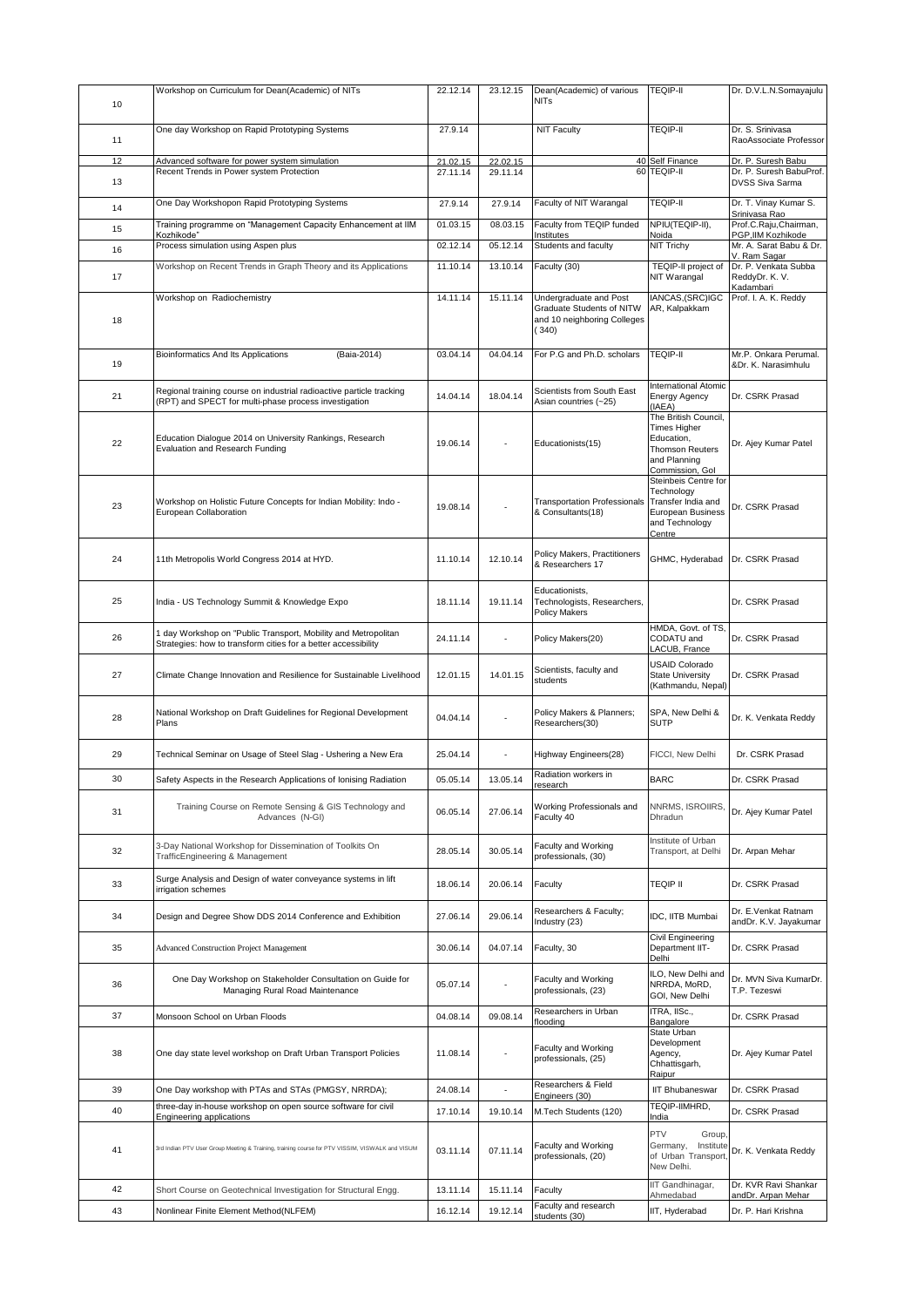| 10       | Workshop on Curriculum for Dean(Academic) of NITs                                                                              | 22.12.14             | 23.12.15             | Dean(Academic) of various<br><b>NITs</b>                                                    | <b>TEQIP-II</b>                                                                                                 | Dr. D.V.L.N.Somayajulu                                                  |
|----------|--------------------------------------------------------------------------------------------------------------------------------|----------------------|----------------------|---------------------------------------------------------------------------------------------|-----------------------------------------------------------------------------------------------------------------|-------------------------------------------------------------------------|
| 11       | One day Workshop on Rapid Prototyping Systems                                                                                  | 27.9.14              |                      | <b>NIT Faculty</b>                                                                          | <b>TEQIP-II</b>                                                                                                 | Dr. S. Srinivasa<br>RaoAssociate Professor                              |
| 12<br>13 | Advanced software for power system simulation<br>Recent Trends in Power system Protection                                      | 21.02.15<br>27.11.14 | 22.02.15<br>29.11.14 |                                                                                             | 40 Self Finance<br>60 TEQIP-II                                                                                  | Dr. P. Suresh Babu<br>Dr. P. Suresh BabuProf.<br><b>DVSS Siva Sarma</b> |
| 14       | One Day Workshopon Rapid Prototyping Systems                                                                                   | 27.9.14              | 27.9.14              | Faculty of NIT Warangal                                                                     | TEQIP-II                                                                                                        | Dr. T. Vinay Kumar S.                                                   |
| 15       | Training programme on "Management Capacity Enhancement at IIM                                                                  | 01.03.15             | 08.03.15             | Faculty from TEQIP funded                                                                   | NPIU(TEQIP-II),                                                                                                 | Srinivasa Rao<br>Prof.C.Raju,Chairman,                                  |
| 16       | Kozhikode"<br>Process simulation using Aspen plus                                                                              | 02.12.14             | 05.12.14             | Institutes<br>Students and faculty                                                          | Noida<br>NIT Trichy                                                                                             | PGP, IIM Kozhikode<br>Mr. A. Sarat Babu & Dr.                           |
| 17       | Workshop on Recent Trends in Graph Theory and its Applications                                                                 | 11.10.14             | 13.10.14             | Faculty (30)                                                                                | TEQIP-II project of<br>NIT Warangal                                                                             | V. Ram Sagar<br>Dr. P. Venkata Subba<br>ReddyDr. K. V.                  |
| 18       | Workshop on Radiochemistry                                                                                                     | 14.11.14             | 15.11.14             | Undergraduate and Post<br>Graduate Students of NITW<br>and 10 neighboring Colleges<br>(340) | IANCAS,(SRC)IGC<br>AR, Kalpakkam                                                                                | Kadambari<br>Prof. I. A. K. Reddy                                       |
| 19       | Bioinformatics And Its Applications<br>(Baia-2014)                                                                             | 03.04.14             | 04.04.14             | For P.G and Ph.D. scholars                                                                  | <b>TEQIP-II</b>                                                                                                 | Mr.P. Onkara Perumal.<br>&Dr. K. Narasimhulu                            |
| 21       | Regional training course on industrial radioactive particle tracking<br>(RPT) and SPECT for multi-phase process investigation  | 14.04.14             | 18.04.14             | Scientists from South East<br>Asian countries (~25)                                         | <b>International Atomic</b><br>Energy Agency<br>(IAEA)                                                          | Dr. CSRK Prasad                                                         |
| 22       | Education Dialogue 2014 on University Rankings, Research<br>Evaluation and Research Funding                                    | 19.06.14             |                      | Educationists(15)                                                                           | The British Council,<br>Times Higher<br>Education,<br><b>Thomson Reuters</b><br>and Planning<br>Commission, Gol | Dr. Ajey Kumar Patel                                                    |
| 23       | Workshop on Holistic Future Concepts for Indian Mobility: Indo -<br>European Collaboration                                     | 19.08.14             |                      | <b>Transportation Professionals</b><br>& Consultants(18)                                    | Steinbeis Centre for<br>Technology<br>Transfer India and<br>European Business<br>and Technology<br>Centre       | Dr. CSRK Prasad                                                         |
| 24       | 11th Metropolis World Congress 2014 at HYD.                                                                                    | 11.10.14             | 12.10.14             | Policy Makers, Practitioners<br>& Researchers 17                                            | GHMC, Hyderabad                                                                                                 | Dr. CSRK Prasad                                                         |
| 25       | India - US Technology Summit & Knowledge Expo                                                                                  | 18.11.14             | 19.11.14             | Educationists,<br>Technologists, Researchers,<br><b>Policy Makers</b>                       |                                                                                                                 | Dr. CSRK Prasad                                                         |
| 26       | day Workshop on "Public Transport, Mobility and Metropolitan<br>Strategies: how to transform cities for a better accessibility | 24.11.14             | ä,                   | Policy Makers(20)                                                                           | HMDA, Govt. of TS.<br>CODATU and<br>LACUB, France                                                               | Dr. CSRK Prasad                                                         |
| 27       | Climate Change Innovation and Resilience for Sustainable Livelihood                                                            | 12.01.15             | 14.01.15             | Scientists, faculty and<br>students                                                         | USAID Colorado<br><b>State University</b><br>(Kathmandu, Nepal)                                                 | Dr. CSRK Prasad                                                         |
| 28       | National Workshop on Draft Guidelines for Regional Development<br>Plans                                                        | 04.04.14             |                      | Policy Makers & Planners;<br>Researchers(30)                                                | SPA, New Delhi &<br><b>SUTP</b>                                                                                 | Dr. K. Venkata Reddy                                                    |
| 29       | Technical Seminar on Usage of Steel Slag - Ushering a New Era                                                                  | 25.04.14             |                      | Highway Engineers(28)                                                                       | FICCI, New Delhi                                                                                                | Dr. CSRK Prasad                                                         |
| 30       | Safety Aspects in the Research Applications of Ionising Radiation                                                              | 05.05.14             | 13.05.14             | Radiation workers in<br>research                                                            | <b>BARC</b>                                                                                                     | Dr. CSRK Prasad                                                         |
| 31       | Training Course on Remote Sensing & GIS Technology and<br>Advances (N-GI)                                                      | 06.05.14             | 27.06.14             | Working Professionals and<br>Faculty 40                                                     | NNRMS, ISROIIRS,<br>Dhradun                                                                                     | Dr. Ajey Kumar Patel                                                    |
| 32       | 3-Day National Workshop for Dissemination of Toolkits On<br>TrafficEngineering & Management                                    | 28.05.14             | 30.05.14             | Faculty and Working<br>professionals, (30)                                                  | Institute of Urban<br>Transport, at Delhi                                                                       | Dr. Arpan Mehar                                                         |
| 33       | Surge Analysis and Design of water conveyance systems in lift<br>irrigation schemes                                            | 18.06.14             | 20.06.14             | Faculty                                                                                     | <b>TEQIP II</b>                                                                                                 | Dr. CSRK Prasad                                                         |
| 34       | Design and Degree Show DDS 2014 Conference and Exhibition                                                                      | 27.06.14             | 29.06.14             | Researchers & Faculty;<br>Industry (23)                                                     | IDC. IITB Mumbai                                                                                                | Dr. E.Venkat Ratnam<br>andDr. K.V. Jayakumar                            |
| 35       | <b>Advanced Construction Project Management</b>                                                                                | 30.06.14             | 04.07.14             | Faculty, 30                                                                                 | Civil Engineering<br>Department IIT-<br>Delhi                                                                   | Dr. CSRK Prasad                                                         |
| 36       | One Day Workshop on Stakeholder Consultation on Guide for<br>Managing Rural Road Maintenance                                   | 05.07.14             |                      | Faculty and Working<br>professionals, (23)                                                  | ILO, New Delhi and<br>NRRDA, MoRD,<br>GOI, New Delhi                                                            | Dr. MVN Siva KumarDr.<br>T.P. Tezeswi                                   |
| 37       | Monsoon School on Urban Floods                                                                                                 | 04.08.14             | 09.08.14             | Researchers in Urban<br>flooding                                                            | ITRA, IISc.,<br>Bangalore                                                                                       | Dr. CSRK Prasad                                                         |
| 38       | One day state level workshop on Draft Urban Transport Policies                                                                 | 11.08.14             |                      | Faculty and Working<br>professionals, (25)                                                  | State Urban<br>Development<br>Agency,<br>Chhattisgarh,<br>Raipur                                                | Dr. Ajey Kumar Patel                                                    |
| 39       | One Day workshop with PTAs and STAs (PMGSY, NRRDA);                                                                            | 24.08.14             |                      | Researchers & Field<br>Engineers (30)                                                       | <b>IIT Bhubaneswar</b>                                                                                          | Dr. CSRK Prasad                                                         |
| 40       | three-day in-house workshop on open source software for civil<br><b>Engineering applications</b>                               | 17.10.14             | 19.10.14             | M.Tech Students (120)                                                                       | TEQIP-IIMHRD,<br><u>India</u>                                                                                   | Dr. CSRK Prasad                                                         |
| 41       | 3rd Indian PTV User Group Meeting & Training, training course for PTV VISSIM, VISWALK and VISUM                                | 03.11.14             | 07.11.14             | Faculty and Working<br>professionals, (20)                                                  | PTV<br>Group,<br>Germany,<br>Institute<br>of Urban Transport,<br>New Delhi.                                     | Dr. K. Venkata Reddy                                                    |
| 42       | Short Course on Geotechnical Investigation for Structural Engg.                                                                | 13.11.14             | 15.11.14             | Faculty                                                                                     | IIT Gandhinagar,<br>Ahmedabad                                                                                   | Dr. KVR Ravi Shankar                                                    |
| 43       | Nonlinear Finite Element Method(NLFEM)                                                                                         | 16.12.14             | 19.12.14             | Faculty and research<br>students (30)                                                       | IIT, Hyderabad                                                                                                  | andDr. Arpan Mehar<br>Dr. P. Hari Krishna                               |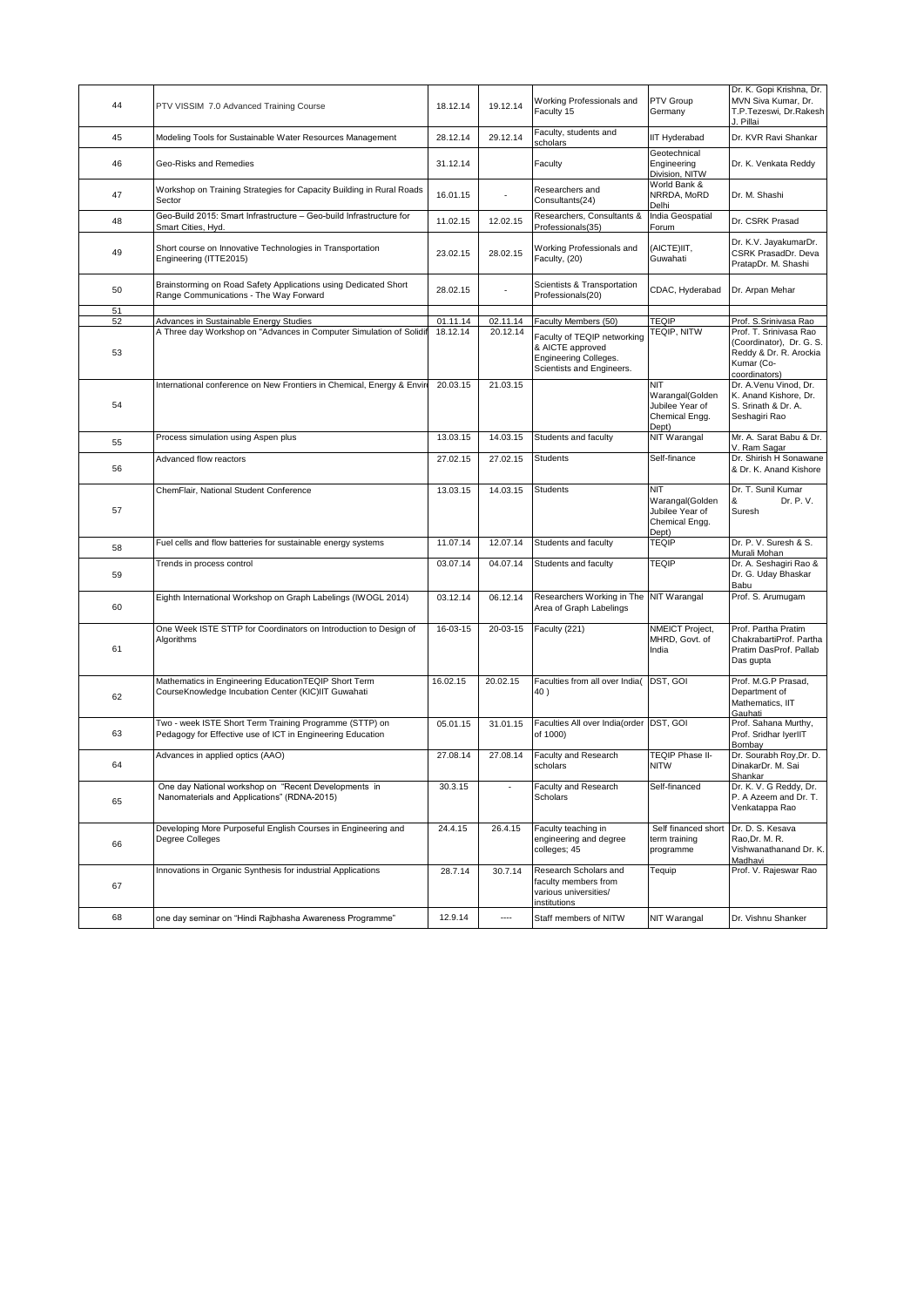| 44       | PTV VISSIM 7.0 Advanced Training Course                                                                               | 18.12.14             | 19.12.14                 | Working Professionals and<br>Faculty 15                                                                                       | PTV Group<br>Germany                                                 | Dr. K. Gopi Krishna, Dr.<br>MVN Siva Kumar, Dr.<br>T.P.Tezeswi, Dr.Rakesh<br>J. Pillai                                               |
|----------|-----------------------------------------------------------------------------------------------------------------------|----------------------|--------------------------|-------------------------------------------------------------------------------------------------------------------------------|----------------------------------------------------------------------|--------------------------------------------------------------------------------------------------------------------------------------|
| 45       | Modeling Tools for Sustainable Water Resources Management                                                             | 28.12.14             | 29.12.14                 | Faculty, students and<br>scholars                                                                                             | <b>IIT Hyderabad</b>                                                 | Dr. KVR Ravi Shankar                                                                                                                 |
| 46       | Geo-Risks and Remedies                                                                                                | 31.12.14             |                          | Faculty                                                                                                                       | Geotechnical<br>Engineering<br>Division, NITW                        | Dr. K. Venkata Reddy                                                                                                                 |
| 47       | Workshop on Training Strategies for Capacity Building in Rural Roads<br>Sector                                        | 16.01.15             |                          | Researchers and<br>Consultants(24)                                                                                            | World Bank &<br>NRRDA, MoRD<br>Delhi                                 | Dr. M. Shashi                                                                                                                        |
| 48       | Geo-Build 2015: Smart Infrastructure - Geo-build Infrastructure for<br>Smart Cities, Hyd.                             | 11.02.15             | 12.02.15                 | Researchers, Consultants &<br>Professionals(35)                                                                               | India Geospatial<br>Forum                                            | Dr. CSRK Prasad                                                                                                                      |
| 49       | Short course on Innovative Technologies in Transportation<br>Engineering (ITTE2015)                                   | 23.02.15             | 28.02.15                 | Working Professionals and<br>Faculty, (20)                                                                                    | (AICTE)IIT,<br>Guwahati                                              | Dr. K.V. JayakumarDr.<br>CSRK PrasadDr, Deva<br>PratapDr. M. Shashi                                                                  |
| 50       | Brainstorming on Road Safety Applications using Dedicated Short<br>Range Communications - The Way Forward             | 28.02.15             |                          | Scientists & Transportation<br>Professionals(20)                                                                              | CDAC, Hyderabad                                                      | Dr. Arpan Mehar                                                                                                                      |
| 51       |                                                                                                                       |                      |                          |                                                                                                                               |                                                                      |                                                                                                                                      |
| 52<br>53 | Advances in Sustainable Energy Studies<br>A Three day Workshop on "Advances in Computer Simulation of Solidif         | 01.11.14<br>18.12.14 | 02.11.14<br>20.12.14     | Faculty Members (50)<br>Faculty of TEQIP networking<br>& AICTE approved<br>Engineering Colleges.<br>Scientists and Engineers. | <b>TEQIP</b><br>TEQIP, NITW                                          | Prof. S.Srinivasa Rao<br>Prof. T. Srinivasa Rao<br>(Coordinator), Dr. G. S.<br>Reddy & Dr. R. Arockia<br>Kumar (Co-<br>coordinators) |
| 54       | International conference on New Frontiers in Chemical, Energy & Envir                                                 | 20.03.15             | 21.03.15                 |                                                                                                                               | NIT<br>Warangal(Golden<br>Jubilee Year of<br>Chemical Engg.<br>Dept) | Dr. A.Venu Vinod, Dr.<br>K. Anand Kishore, Dr.<br>S. Srinath & Dr. A.<br>Seshagiri Rao                                               |
| 55       | Process simulation using Aspen plus                                                                                   | 13.03.15             | 14.03.15                 | Students and faculty                                                                                                          | NIT Warangal                                                         | Mr. A. Sarat Babu & Dr.<br>V. Ram Sagar                                                                                              |
| 56       | Advanced flow reactors                                                                                                | 27.02.15             | 27.02.15                 | <b>Students</b>                                                                                                               | Self-finance                                                         | Dr. Shirish H Sonawane<br>& Dr. K. Anand Kishore                                                                                     |
| 57       | ChemFlair, National Student Conference                                                                                | 13.03.15             | 14.03.15                 | <b>Students</b>                                                                                                               | NIT<br>Warangal(Golden<br>Jubilee Year of<br>Chemical Engg.<br>Dept) | Dr. T. Sunil Kumar<br>Dr. P. V.<br>&<br>Suresh                                                                                       |
| 58       | Fuel cells and flow batteries for sustainable energy systems                                                          | 11.07.14             | 12.07.14                 | Students and faculty                                                                                                          | <b>TEQIP</b>                                                         | Dr. P. V. Suresh & S.<br>Murali Mohan                                                                                                |
| 59       | Trends in process control                                                                                             | 03.07.14             | 04.07.14                 | Students and faculty                                                                                                          | <b>TEQIP</b>                                                         | Dr. A. Seshagiri Rao &<br>Dr. G. Uday Bhaskar<br>Babu                                                                                |
| 60       | Eighth International Workshop on Graph Labelings (IWOGL 2014)                                                         | 03.12.14             | 06.12.14                 | Researchers Working in The NIT Warangal<br>Area of Graph Labelings                                                            |                                                                      | Prof. S. Arumugam                                                                                                                    |
| 61       | One Week ISTE STTP for Coordinators on Introduction to Design of<br>Algorithms                                        | 16-03-15             | 20-03-15                 | Faculty (221)                                                                                                                 | NMEICT Project,<br>MHRD, Govt. of<br>India                           | Prof. Partha Pratim<br>ChakrabartiProf. Partha<br>Pratim DasProf. Pallab<br>Das gupta                                                |
| 62       | Mathematics in Engineering EducationTEQIP Short Term<br>CourseKnowledge Incubation Center (KIC)IIT Guwahati           | 16.02.15             | 20.02.15                 | Faculties from all over India(<br>40)                                                                                         | DST, GOI                                                             | Prof. M.G.P Prasad,<br>Department of<br>Mathematics, IIT<br>Gauhati                                                                  |
| 63       | Two - week ISTE Short Term Training Programme (STTP) on<br>Pedagogy for Effective use of ICT in Engineering Education | 05.01.15             | 31.01.15                 | Faculties All over India(order DST, GOI<br>of 1000)                                                                           |                                                                      | Prof. Sahana Murthy,<br>Prof. Sridhar IyerIIT<br>Bombay                                                                              |
| 64       | Advances in applied optics (AAO)                                                                                      | 27.08.14             | 27.08.14                 | Faculty and Research<br>scholars                                                                                              | <b>TEQIP Phase II-</b><br><b>NITW</b>                                | Dr. Sourabh Roy, Dr. D.<br>DinakarDr. M. Sai<br>Shankar                                                                              |
| 65       | One day National workshop on "Recent Developments in<br>Nanomaterials and Applications" (RDNA-2015)                   | 30.3.15              | $\overline{\phantom{a}}$ | Faculty and Research<br>Scholars                                                                                              | Self-financed                                                        | Dr. K. V. G Reddy, Dr.<br>P. A Azeem and Dr. T.<br>Venkatappa Rao                                                                    |
| 66       | Developing More Purposeful English Courses in Engineering and<br>Degree Colleges                                      | 24.4.15              | 26.4.15                  | Faculty teaching in<br>engineering and degree<br>colleges; 45                                                                 | Self financed short<br>term training<br>programme                    | Dr. D. S. Kesava<br>Rao, Dr. M. R.<br>Vishwanathanand Dr. K.<br>Madhavi                                                              |
| 67       | Innovations in Organic Synthesis for industrial Applications                                                          | 28.7.14              | 30.7.14                  | Research Scholars and<br>faculty members from<br>various universities/<br>institutions                                        | Tequip                                                               | Prof. V. Rajeswar Rao                                                                                                                |
| 68       | one day seminar on "Hindi Rajbhasha Awareness Programme"                                                              | 12.9.14              |                          | Staff members of NITW                                                                                                         | NIT Warangal                                                         | Dr. Vishnu Shanker                                                                                                                   |